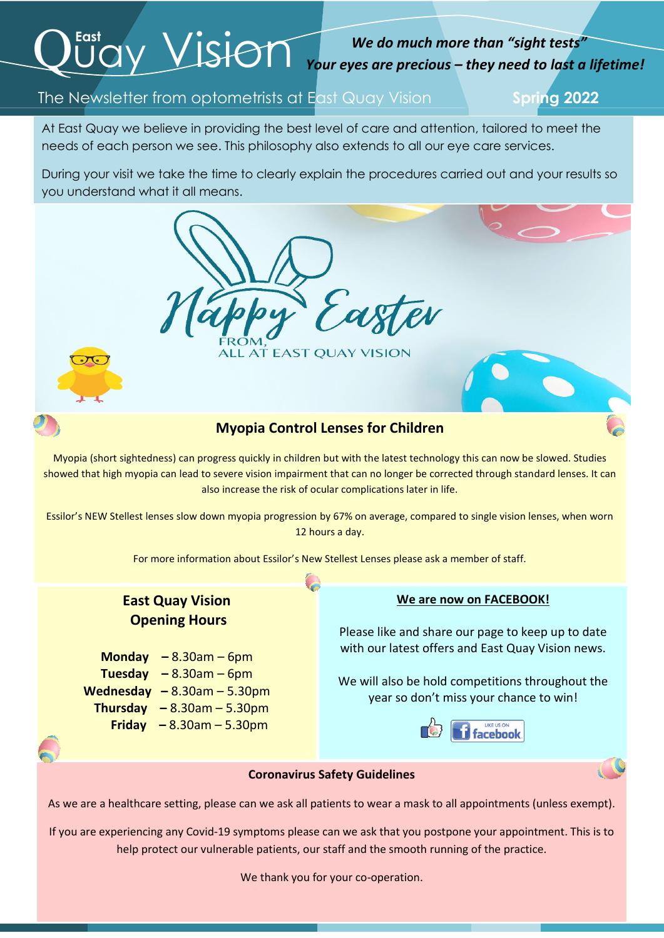# $Q^{\text{East}}$  Vision

## *We do much more than "sight tests" Your eyes are precious – they need to last a lifetime!*

## The Newsletter from optometrists at East Quay Vision **Spring 2022**

At East Quay we believe in providing the best level of care and attention, tailored to meet the needs of each person we see. This philosophy also extends to all our eye care services.

 During your visit we take the time to clearly explain the procedures carried out and your results so you understand what it all means.



Myopia (short sightedness) can progress quickly in children but with the latest technology this can now be slowed. Studies showed that high myopia can lead to severe vision impairment that can no longer be corrected through standard lenses. It can also increase the risk of ocular complications later in life.

Essilor's NEW Stellest lenses slow down myopia progression by 67% on average, compared to single vision lenses, when worn 12 hours a day.

For more information about Essilor's New Stellest Lenses please ask a member of staff.

## **East Quay Vision Opening Hours**

**Monday –** 8.30am – 6pm **Tuesday**  $-8.30$ am  $-6$ pm **Wednesday –** 8.30am – 5.30pm  **Thursday –** 8.30am – 5.30pm  **Friday –** 8.30am – 5.30pm

### **We are now on FACEBOOK!**

Please like and share our page to keep up to date with our latest offers and East Quay Vision news.

We will also be hold competitions throughout the year so don't miss your chance to win!



#### **Coronavirus Safety Guidelines**

As we are a healthcare setting, please can we ask all patients to wear a mask to all appointments (unless exempt).

If you are experiencing any Covid-19 symptoms please can we ask that you postpone your appointment. This is to help protect our vulnerable patients, our staff and the smooth running of the practice.

We thank you for your co-operation.